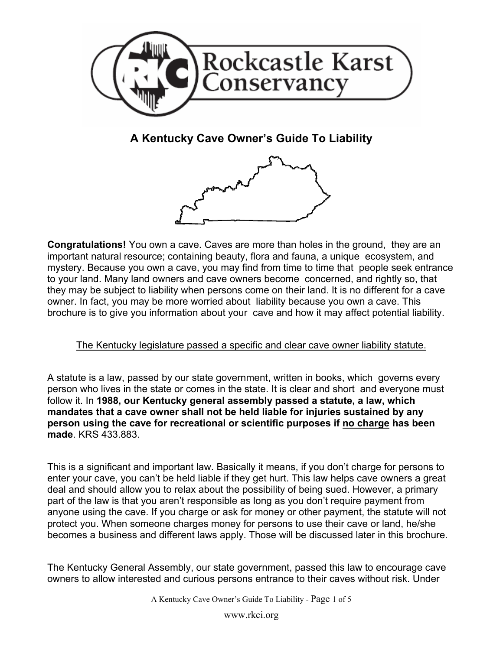

**A Kentucky Cave Owner's Guide To Liability** 



**Congratulations!** You own a cave. Caves are more than holes in the ground, they are an important natural resource; containing beauty, flora and fauna, a unique ecosystem, and mystery. Because you own a cave, you may find from time to time that people seek entrance to your land. Many land owners and cave owners become concerned, and rightly so, that they may be subject to liability when persons come on their land. It is no different for a cave owner. In fact, you may be more worried about liability because you own a cave. This brochure is to give you information about your cave and how it may affect potential liability.

## The Kentucky legislature passed a specific and clear cave owner liability statute.

A statute is a law, passed by our state government, written in books, which governs every person who lives in the state or comes in the state. It is clear and short and everyone must follow it. In **1988, our Kentucky general assembly passed a statute, a law, which mandates that a cave owner shall not be held liable for injuries sustained by any person using the cave for recreational or scientific purposes if no charge has been made**. KRS 433.883.

This is a significant and important law. Basically it means, if you don't charge for persons to enter your cave, you can't be held liable if they get hurt. This law helps cave owners a great deal and should allow you to relax about the possibility of being sued. However, a primary part of the law is that you aren't responsible as long as you don't require payment from anyone using the cave. If you charge or ask for money or other payment, the statute will not protect you. When someone charges money for persons to use their cave or land, he/she becomes a business and different laws apply. Those will be discussed later in this brochure.

The Kentucky General Assembly, our state government, passed this law to encourage cave owners to allow interested and curious persons entrance to their caves without risk. Under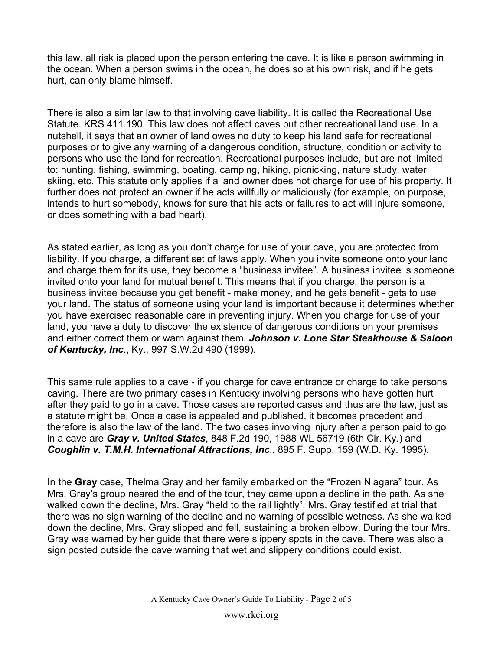this law, all risk is placed upon the person entering the cave. It is like a person swimming in the ocean. When a person swims in the ocean, he does so at his own risk, and if he gets hurt, can only blame himself.

There is also a similar law to that involving cave liability. It is called the Recreational Use Statute. KRS 411.190. This law does not affect caves but other recreational land use. In a nutshell, it says that an owner of land owes no duty to keep his land safe for recreational purposes or to give any warning of a dangerous condition, structure, condition or activity to persons who use the land for recreation. Recreational purposes include, but are not limited to: hunting, fishing, swimming, boating, camping, hiking, picnicking, nature study, water skiing, etc. This statute only applies if a land owner does not charge for use of his property. It further does not protect an owner if he acts willfully or maliciously (for example, on purpose, intends to hurt somebody, knows for sure that his acts or failures to act will injure someone, or does something with a bad heart).

As stated earlier, as long as you don't charge for use of your cave, you are protected from liability. If you charge, a different set of laws apply. When you invite someone onto your land and charge them for its use, they become a "business invitee". A business invitee is someone invited onto your land for mutual benefit. This means that if you charge, the person is a business invitee because you get benefit - make money, and he gets benefit - gets to use your land. The status of someone using your land is important because it determines whether you have exercised reasonable care in preventing injury. When you charge for use of your land, you have a duty to discover the existence of dangerous conditions on your premises and either correct them or warn against them. *Johnson v. Lone Star Steakhouse & Saloon of Kentucky, Inc*., Ky., 997 S.W.2d 490 (1999).

This same rule applies to a cave - if you charge for cave entrance or charge to take persons caving. There are two primary cases in Kentucky involving persons who have gotten hurt after they paid to go in a cave. Those cases are reported cases and thus are the law, just as a statute might be. Once a case is appealed and published, it becomes precedent and therefore is also the law of the land. The two cases involving injury after a person paid to go in a cave are *Gray v. United States*, 848 F.2d 190, 1988 WL 56719 (6th Cir. Ky.) and *Coughlin v. T.M.H. International Attractions, Inc*., 895 F. Supp. 159 (W.D. Ky. 1995).

In the **Gray** case, Thelma Gray and her family embarked on the "Frozen Niagara" tour. As Mrs. Gray's group neared the end of the tour, they came upon a decline in the path. As she walked down the decline, Mrs. Gray "held to the rail lightly". Mrs. Gray testified at trial that there was no sign warning of the decline and no warning of possible wetness. As she walked down the decline, Mrs. Gray slipped and fell, sustaining a broken elbow. During the tour Mrs. Gray was warned by her guide that there were slippery spots in the cave. There was also a sign posted outside the cave warning that wet and slippery conditions could exist.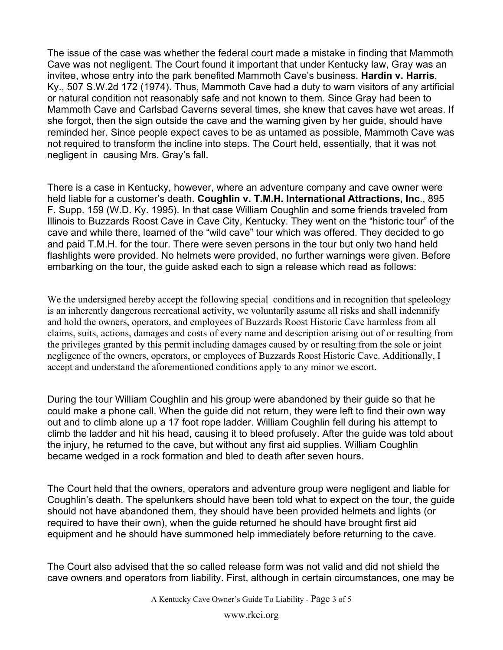The issue of the case was whether the federal court made a mistake in finding that Mammoth Cave was not negligent. The Court found it important that under Kentucky law, Gray was an invitee, whose entry into the park benefited Mammoth Cave's business. **Hardin v. Harris**, Ky., 507 S.W.2d 172 (1974). Thus, Mammoth Cave had a duty to warn visitors of any artificial or natural condition not reasonably safe and not known to them. Since Gray had been to Mammoth Cave and Carlsbad Caverns several times, she knew that caves have wet areas. If she forgot, then the sign outside the cave and the warning given by her guide, should have reminded her. Since people expect caves to be as untamed as possible, Mammoth Cave was not required to transform the incline into steps. The Court held, essentially, that it was not negligent in causing Mrs. Gray's fall.

There is a case in Kentucky, however, where an adventure company and cave owner were held liable for a customer's death. **Coughlin v. T.M.H. International Attractions, Inc**., 895 F. Supp. 159 (W.D. Ky. 1995). In that case William Coughlin and some friends traveled from Illinois to Buzzards Roost Cave in Cave City, Kentucky. They went on the "historic tour" of the cave and while there, learned of the "wild cave" tour which was offered. They decided to go and paid T.M.H. for the tour. There were seven persons in the tour but only two hand held flashlights were provided. No helmets were provided, no further warnings were given. Before embarking on the tour, the guide asked each to sign a release which read as follows:

We the undersigned hereby accept the following special conditions and in recognition that speleology is an inherently dangerous recreational activity, we voluntarily assume all risks and shall indemnify and hold the owners, operators, and employees of Buzzards Roost Historic Cave harmless from all claims, suits, actions, damages and costs of every name and description arising out of or resulting from the privileges granted by this permit including damages caused by or resulting from the sole or joint negligence of the owners, operators, or employees of Buzzards Roost Historic Cave. Additionally, I accept and understand the aforementioned conditions apply to any minor we escort.

During the tour William Coughlin and his group were abandoned by their guide so that he could make a phone call. When the guide did not return, they were left to find their own way out and to climb alone up a 17 foot rope ladder. William Coughlin fell during his attempt to climb the ladder and hit his head, causing it to bleed profusely. After the guide was told about the injury, he returned to the cave, but without any first aid supplies. William Coughlin became wedged in a rock formation and bled to death after seven hours.

The Court held that the owners, operators and adventure group were negligent and liable for Coughlin's death. The spelunkers should have been told what to expect on the tour, the guide should not have abandoned them, they should have been provided helmets and lights (or required to have their own), when the guide returned he should have brought first aid equipment and he should have summoned help immediately before returning to the cave.

The Court also advised that the so called release form was not valid and did not shield the cave owners and operators from liability. First, although in certain circumstances, one may be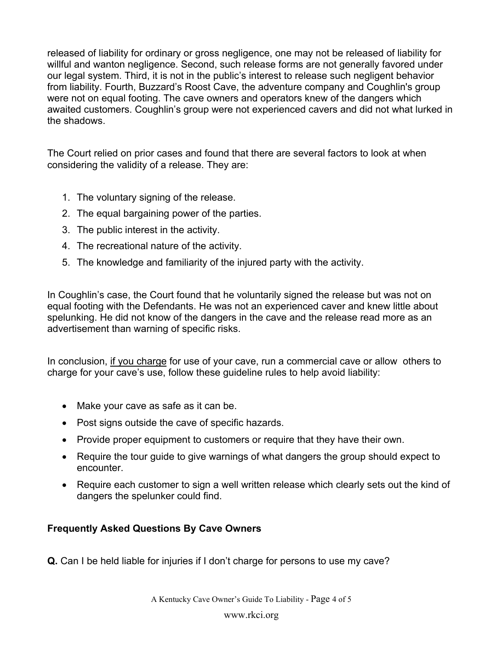released of liability for ordinary or gross negligence, one may not be released of liability for willful and wanton negligence. Second, such release forms are not generally favored under our legal system. Third, it is not in the public's interest to release such negligent behavior from liability. Fourth, Buzzard's Roost Cave, the adventure company and Coughlin's group were not on equal footing. The cave owners and operators knew of the dangers which awaited customers. Coughlin's group were not experienced cavers and did not what lurked in the shadows.

The Court relied on prior cases and found that there are several factors to look at when considering the validity of a release. They are:

- 1. The voluntary signing of the release.
- 2. The equal bargaining power of the parties.
- 3. The public interest in the activity.
- 4. The recreational nature of the activity.
- 5. The knowledge and familiarity of the injured party with the activity.

In Coughlin's case, the Court found that he voluntarily signed the release but was not on equal footing with the Defendants. He was not an experienced caver and knew little about spelunking. He did not know of the dangers in the cave and the release read more as an advertisement than warning of specific risks.

In conclusion, if you charge for use of your cave, run a commercial cave or allow others to charge for your cave's use, follow these guideline rules to help avoid liability:

- Make your cave as safe as it can be.
- Post signs outside the cave of specific hazards.
- Provide proper equipment to customers or require that they have their own.
- Require the tour guide to give warnings of what dangers the group should expect to encounter.
- Require each customer to sign a well written release which clearly sets out the kind of dangers the spelunker could find.

## **Frequently Asked Questions By Cave Owners**

**Q.** Can I be held liable for injuries if I don't charge for persons to use my cave?